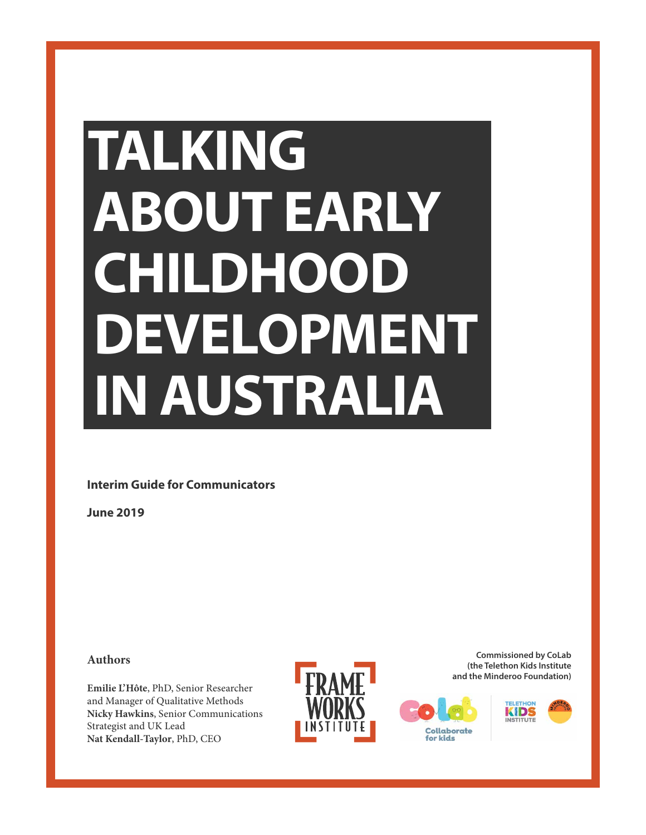## **TALKING ABOUT EARLY CHILDHOOD DEVELOPMENT IN AUSTRALIA**

#### **Interim Guide for Communicators**

**June 2019**

#### **Authors**

**Emilie L'Hôte**, PhD, Senior Researcher and Manager of Qualitative Methods **Nicky Hawkins**, Senior Communications Strategist and UK Lead **Nat Kendall-Taylor**, PhD, CEO



**Commissioned by CoLab (the Telethon Kids Institute and the Minderoo Foundation)**

Collaborate for kids

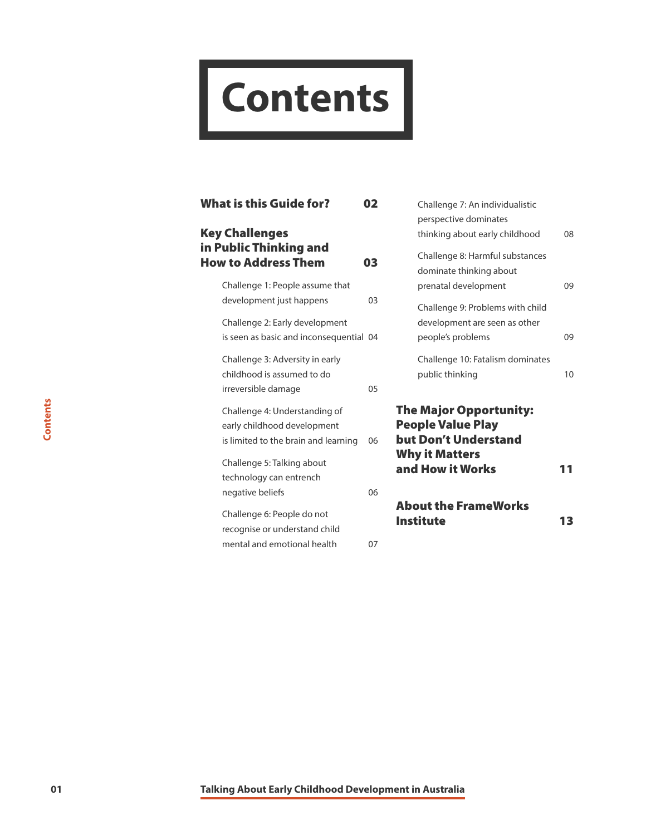## **Contents**

| <b>What is this Guide for?</b>                                                                       | 02             | Challenge 7: An individualistic                                                   |    |
|------------------------------------------------------------------------------------------------------|----------------|-----------------------------------------------------------------------------------|----|
| <b>Key Challenges</b><br>in Public Thinking and                                                      |                | perspective dominates<br>thinking about early childhood                           | 08 |
| <b>How to Address Them</b>                                                                           | 03             | Challenge 8: Harmful substances<br>dominate thinking about                        |    |
| Challenge 1: People assume that                                                                      |                | prenatal development                                                              | 09 |
| development just happens                                                                             | 0 <sup>3</sup> | Challenge 9: Problems with child                                                  |    |
| Challenge 2: Early development<br>is seen as basic and inconsequential 04                            |                | development are seen as other<br>people's problems                                | 09 |
| Challenge 3: Adversity in early<br>childhood is assumed to do<br>irreversible damage                 | 05             | Challenge 10: Fatalism dominates<br>public thinking                               | 10 |
| Challenge 4: Understanding of<br>early childhood development<br>is limited to the brain and learning | 06             | <b>The Major Opportunity:</b><br><b>People Value Play</b><br>but Don't Understand |    |
| Challenge 5: Talking about<br>technology can entrench                                                |                | <b>Why it Matters</b><br>and How it Works                                         | 11 |
| negative beliefs                                                                                     | 06             |                                                                                   |    |
| Challenge 6: People do not<br>recognise or understand child                                          |                | <b>About the FrameWorks</b><br><b>Institute</b>                                   | 13 |
| mental and emotional health                                                                          | 07             |                                                                                   |    |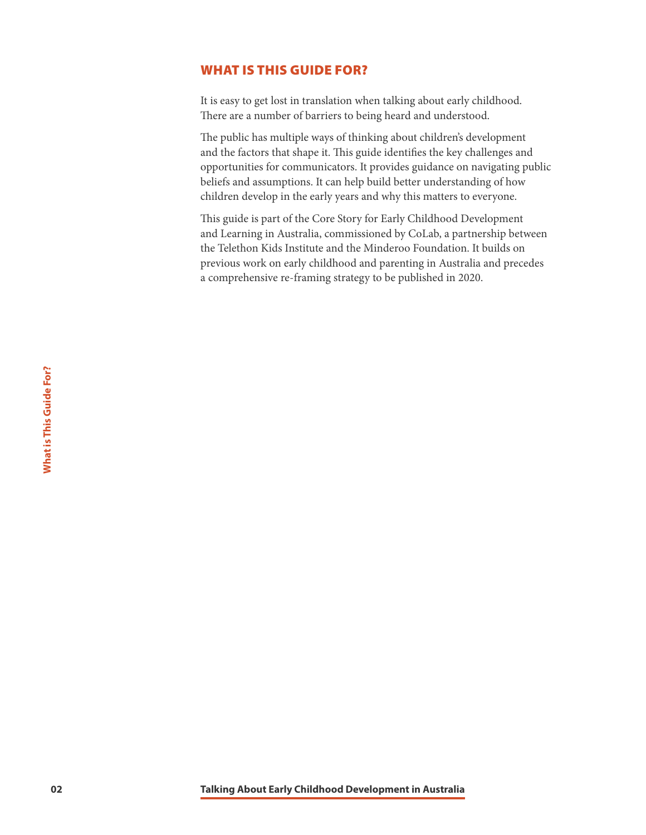#### <span id="page-2-0"></span>WHAT IS THIS GUIDE FOR?

It is easy to get lost in translation when talking about early childhood. There are a number of barriers to being heard and understood.

The public has multiple ways of thinking about children's development and the factors that shape it. This guide identifies the key challenges and opportunities for communicators. It provides guidance on navigating public beliefs and assumptions. It can help build better understanding of how children develop in the early years and why this matters to everyone.

This guide is part of the Core Story for Early Childhood Development and Learning in Australia, commissioned by CoLab, a partnership between the Telethon Kids Institute and the Minderoo Foundation. It builds on previous work on early childhood and parenting in Australia and precedes a comprehensive re-framing strategy to be published in 2020.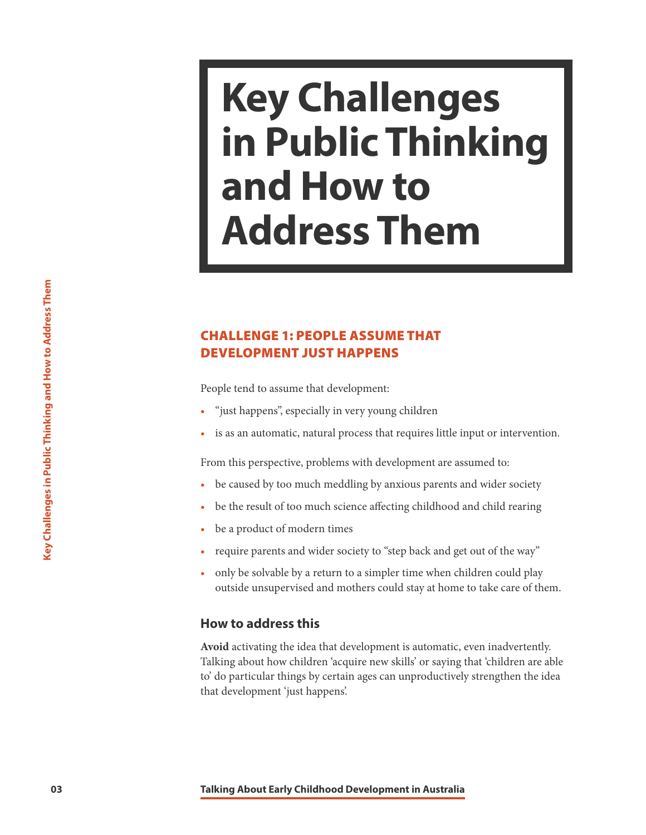### <span id="page-3-0"></span>**Key Challenges in Public Thinking and How to Address Them**

#### CHALLENGE 1: PEOPLE ASSUME THAT DEVELOPMENT JUST HAPPENS

People tend to assume that development:

- "just happens", especially in very young children
- is as an automatic, natural process that requires little input or intervention.

From this perspective, problems with development are assumed to:

- be caused by too much meddling by anxious parents and wider society
- be the result of too much science affecting childhood and child rearing
- be a product of modern times
- require parents and wider society to "step back and get out of the way"
- only be solvable by a return to a simpler time when children could play outside unsupervised and mothers could stay at home to take care of them.

#### **How to address this**

**CHALLENGE 1: PEOPLE ASSUME THAT**<br> **DEVELOPMENT JUST HAPPENS**<br>
People tend to assume that development:<br>
• "just happens", especially in very young children<br>
• is as an automatic, natural process that requires little in<br>
Fr **Avoid** activating the idea that development is automatic, even inadvertently. Talking about how children 'acquire new skills' or saying that 'children are able to' do particular things by certain ages can unproductively strengthen the idea that development 'just happens'.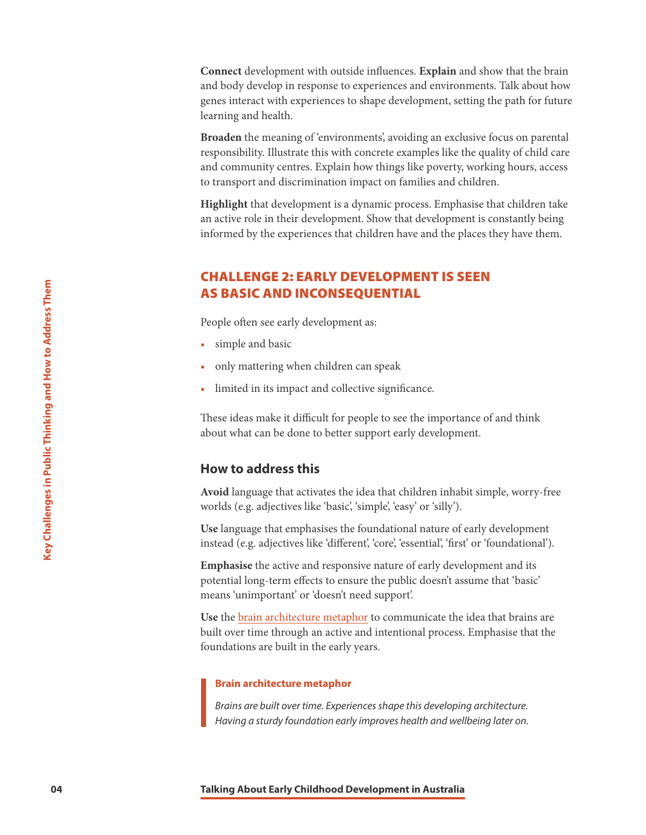<span id="page-4-0"></span>**Connect** development with outside influences. **Explain** and show that the brain and body develop in response to experiences and environments. Talk about how genes interact with experiences to shape development, setting the path for future learning and health.

**Broaden** the meaning of 'environments', avoiding an exclusive focus on parental responsibility. Illustrate this with concrete examples like the quality of child care and community centres. Explain how things like poverty, working hours, access to transport and discrimination impact on families and children.

**Highlight** that development is a dynamic process. Emphasise that children take an active role in their development. Show that development is constantly being informed by the experiences that children have and the places they have them.

#### CHALLENGE 2: EARLY DEVELOPMENT IS SEEN AS BASIC AND INCONSEQUENTIAL

People often see early development as:

- simple and basic
- only mattering when children can speak
- limited in its impact and collective significance.

These ideas make it difficult for people to see the importance of and think about what can be done to better support early development.

#### **How to address this**

**Avoid** language that activates the idea that children inhabit simple, worry-free worlds (e.g. adjectives like 'basic', 'simple', 'easy' or 'silly').

**Use** language that emphasises the foundational nature of early development instead (e.g. adjectives like 'different', 'core', 'essential', 'first' or 'foundational').

**Emphasise** the active and responsive nature of early development and its potential long-term effects to ensure the public doesn't assume that 'basic' means 'unimportant' or 'doesn't need support'.

**Example 10 Talking About Early Childhood Development in Australia Prophetoform see early development as:**<br>
• simple and basic<br>
• only mattering when children can speak<br>
• limited in its impact and collective significa **Use** the [brain architecture metaphor](https://www.youtube.com/watch?v=hMyDFYSkZSU) to communicate the idea that brains are built over time through an active and intentional process. Emphasise that the foundations are built in the early years.

#### **Brain architecture metaphor**

*Brains are built over time. Experiences shape this developing architecture. Having a sturdy foundation early improves health and wellbeing later on.*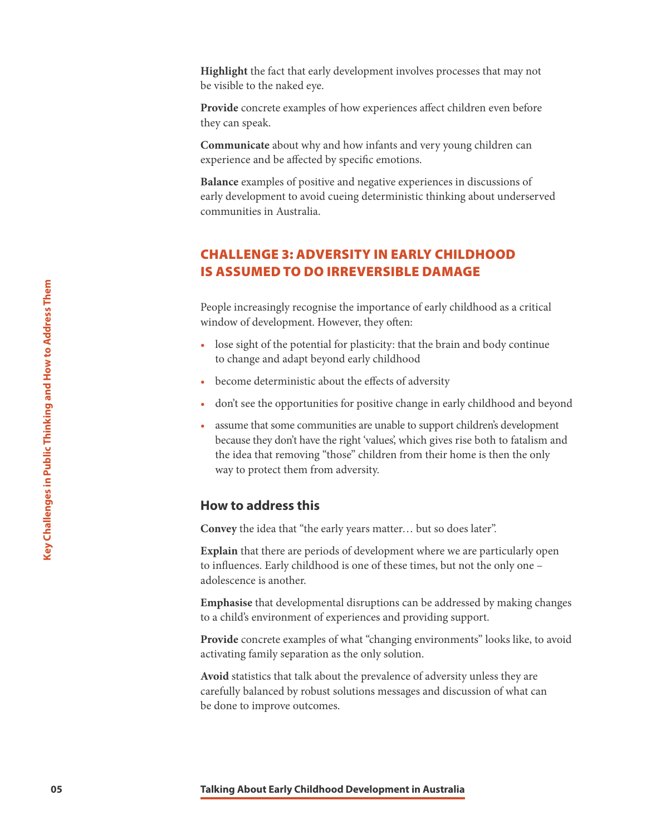<span id="page-5-0"></span>**Highlight** the fact that early development involves processes that may not be visible to the naked eye.

**Provide** concrete examples of how experiences affect children even before they can speak.

**Communicate** about why and how infants and very young children can experience and be affected by specific emotions.

**Balance** examples of positive and negative experiences in discussions of early development to avoid cueing deterministic thinking about underserved communities in Australia.

#### CHALLENGE 3: ADVERSITY IN EARLY CHILDHOOD IS ASSUMED TO DO IRREVERSIBLE DAMAGE

People increasingly recognise the importance of early childhood as a critical window of development. However, they often:

- lose sight of the potential for plasticity: that the brain and body continue to change and adapt beyond early childhood
- become deterministic about the effects of adversity
- don't see the opportunities for positive change in early childhood and beyond
- **People increasingly recognise the importance of early childhood**<br>
 loss sight of the potential for plasticity: that the brain<br>
to change and adapt beyond early childhood<br>
 become deterministic about the effects of adver • assume that some communities are unable to support children's development because they don't have the right 'values', which gives rise both to fatalism and the idea that removing "those" children from their home is then the only way to protect them from adversity.

#### **How to address this**

**Convey** the idea that "the early years matter… but so does later".

**Explain** that there are periods of development where we are particularly open to influences. Early childhood is one of these times, but not the only one – adolescence is another.

**Emphasise** that developmental disruptions can be addressed by making changes to a child's environment of experiences and providing support.

**Provide** concrete examples of what "changing environments" looks like, to avoid activating family separation as the only solution.

**Avoid** statistics that talk about the prevalence of adversity unless they are carefully balanced by robust solutions messages and discussion of what can be done to improve outcomes.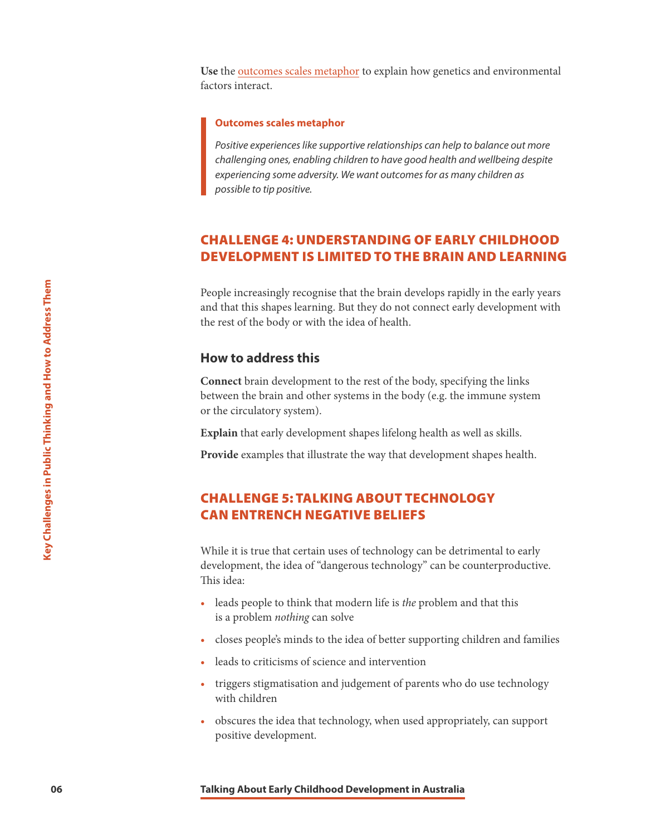<span id="page-6-0"></span>**Use** the [outcomes scales metaphor](https://www.youtube.com/watch?v=EW20A962wd4&feature=youtu.be) to explain how genetics and environmental factors interact.

#### **Outcomes scales metaphor**

*Positive experiences like supportive relationships can help to balance out more challenging ones, enabling children to have good health and wellbeing despite experiencing some adversity. We want outcomes for as many children as possible to tip positive.*

#### CHALLENGE 4: UNDERSTANDING OF EARLY CHILDHOOD DEVELOPMENT IS LIMITED TO THE BRAIN AND LEARNING

People increasingly recognise that the brain develops rapidly in the early years and that this shapes learning. But they do not connect early development with the rest of the body or with the idea of health.

#### **How to address this**

**Connect** brain development to the rest of the body, specifying the links between the brain and other systems in the body (e.g. the immune system or the circulatory system).

**Explain** that early development shapes lifelong health as well as skills.

**Provide** examples that illustrate the way that development shapes health.

#### CHALLENGE 5: TALKING ABOUT TECHNOLOGY CAN ENTRENCH NEGATIVE BELIEFS

**Prople increasingly recognise that the brain develops rapid that this shape learning. But they do not connect earlier the rest of the body or with the idea of health.<br>
<b>How to address this**<br> **Connect** brain development to While it is true that certain uses of technology can be detrimental to early development, the idea of "dangerous technology" can be counterproductive. This idea:

- leads people to think that modern life is *the* problem and that this is a problem *nothing* can solve
- closes people's minds to the idea of better supporting children and families
- leads to criticisms of science and intervention
- triggers stigmatisation and judgement of parents who do use technology with children
- obscures the idea that technology, when used appropriately, can support positive development.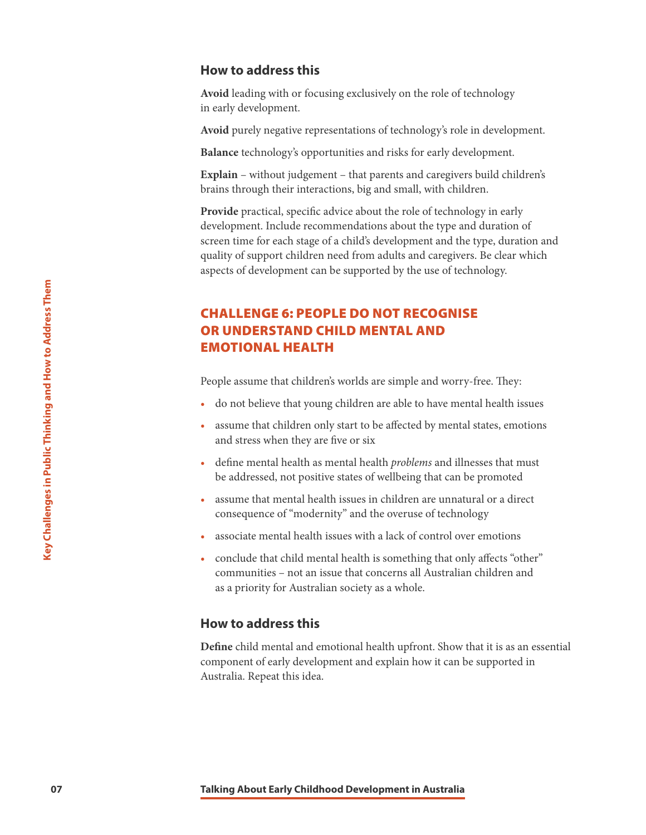#### <span id="page-7-0"></span>**How to address this**

**Avoid** leading with or focusing exclusively on the role of technology in early development.

**Avoid** purely negative representations of technology's role in development.

**Balance** technology's opportunities and risks for early development.

**Explain** – without judgement – that parents and caregivers build children's brains through their interactions, big and small, with children.

**Provide** practical, specific advice about the role of technology in early development. Include recommendations about the type and duration of screen time for each stage of a child's development and the type, duration and quality of support children need from adults and caregivers. Be clear which aspects of development can be supported by the use of technology.

# **CHALLENGE 6: PEOPLE DO NOT RECOGNIS<br>
OR UNDERSTAND CHILD MENTAL AND<br>
EMOTIONAL HEALTH<br>
People assume that children's worlds are simple and worr<br>
do not believe that young children are able to have me<br>
assume that children** CHALLENGE 6: PEOPLE DO NOT RECOGNISE OR UNDERSTAND CHILD MENTAL AND EMOTIONAL HEALTH

People assume that children's worlds are simple and worry-free. They:

- do not believe that young children are able to have mental health issues
- assume that children only start to be affected by mental states, emotions and stress when they are five or six
- define mental health as mental health *problems* and illnesses that must be addressed, not positive states of wellbeing that can be promoted
- assume that mental health issues in children are unnatural or a direct consequence of "modernity" and the overuse of technology
- associate mental health issues with a lack of control over emotions
- conclude that child mental health is something that only affects "other" communities – not an issue that concerns all Australian children and as a priority for Australian society as a whole.

#### **How to address this**

**Define** child mental and emotional health upfront. Show that it is as an essential component of early development and explain how it can be supported in Australia. Repeat this idea.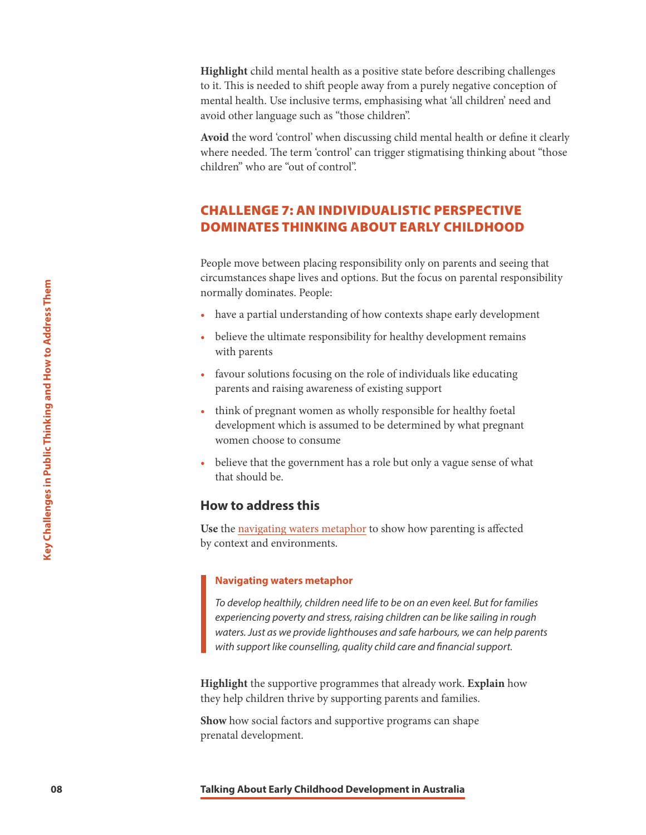<span id="page-8-0"></span>**Highlight** child mental health as a positive state before describing challenges to it. This is needed to shift people away from a purely negative conception of mental health. Use inclusive terms, emphasising what 'all children' need and avoid other language such as "those children".

**Avoid** the word 'control' when discussing child mental health or define it clearly where needed. The term 'control' can trigger stigmatising thinking about "those" children" who are "out of control".

#### CHALLENGE 7: AN INDIVIDUALISTIC PERSPECTIVE DOMINATES THINKING ABOUT EARLY CHILDHOOD

People move between placing responsibility only on parents and seeing that circumstances shape lives and options. But the focus on parental responsibility normally dominates. People:

- have a partial understanding of how contexts shape early development
- believe the ultimate responsibility for healthy development remains with parents
- favour solutions focusing on the role of individuals like educating parents and raising awareness of existing support
- think of pregnant women as wholly responsible for healthy foetal development which is assumed to be determined by what pregnant women choose to consume
- believe that the government has a role but only a vague sense of what that should be.

#### **How to address this**

**Use** the [navigating waters metaphor](https://www.youtube.com/watch?v=I9Twqr-DcUU) to show how parenting is affected by context and environments.

#### **Navigating waters metaphor**

**Consideration**<br> **Consideration Children Children Children Children Children Children Children Children Children Children Children Children Children Children Children Children Children Children Children Children Children** *To develop healthily, children need life to be on an even keel. But for families experiencing poverty and stress, raising children can be like sailing in rough waters. Just as we provide lighthouses and safe harbours, we can help parents with support like counselling, quality child care and financial support.*

**Highlight** the supportive programmes that already work. **Explain** how they help children thrive by supporting parents and families.

**Show** how social factors and supportive programs can shape prenatal development.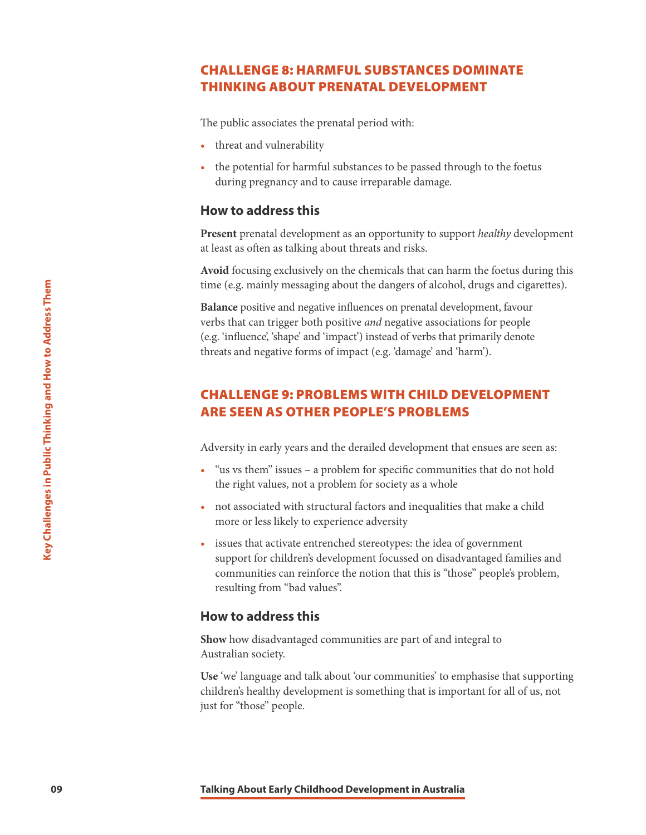#### <span id="page-9-0"></span>CHALLENGE 8: HARMFUL SUBSTANCES DOMINATE THINKING ABOUT PRENATAL DEVELOPMENT

The public associates the prenatal period with:

- threat and vulnerability
- the potential for harmful substances to be passed through to the foetus during pregnancy and to cause irreparable damage.

#### **How to address this**

**Present** prenatal development as an opportunity to support *healthy* development at least as often as talking about threats and risks.

**Avoid** focusing exclusively on the chemicals that can harm the foetus during this time (e.g. mainly messaging about the dangers of alcohol, drugs and cigarettes).

Final (e.g. mainly messaging about the dangers of alcohol,<br> **Balance** positive and negative influences on pensand development<br>
(e.g. 'influences' shape' and 'impact') instead of verbs that p<br>
threats and negative forms of **Balance** positive and negative influences on prenatal development, favour verbs that can trigger both positive *and* negative associations for people (e.g. 'influence', 'shape' and 'impact') instead of verbs that primarily denote threats and negative forms of impact (e.g. 'damage' and 'harm').

#### CHALLENGE 9: PROBLEMS WITH CHILD DEVELOPMENT ARE SEEN AS OTHER PEOPLE'S PROBLEMS

Adversity in early years and the derailed development that ensues are seen as:

- "us vs them" issues a problem for specific communities that do not hold the right values, not a problem for society as a whole
- not associated with structural factors and inequalities that make a child more or less likely to experience adversity
- issues that activate entrenched stereotypes: the idea of government support for children's development focussed on disadvantaged families and communities can reinforce the notion that this is "those" people's problem, resulting from "bad values".

#### **How to address this**

**Show** how disadvantaged communities are part of and integral to Australian society.

**Use** 'we' language and talk about 'our communities' to emphasise that supporting children's healthy development is something that is important for all of us, not just for "those" people.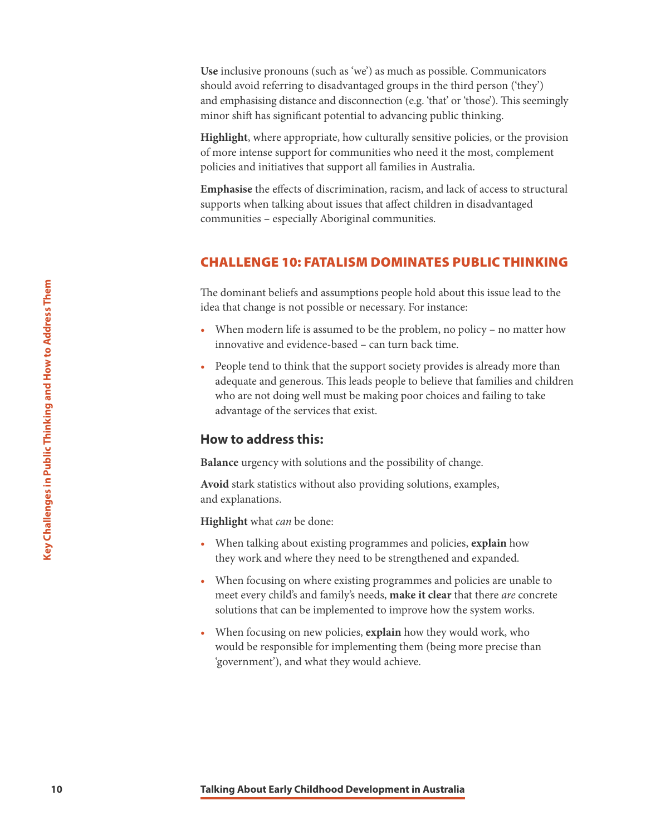<span id="page-10-0"></span>**Use** inclusive pronouns (such as 'we') as much as possible. Communicators should avoid referring to disadvantaged groups in the third person ('they') and emphasising distance and disconnection (e.g. 'that' or 'those'). This seemingly minor shift has significant potential to advancing public thinking.

**Highlight**, where appropriate, how culturally sensitive policies, or the provision of more intense support for communities who need it the most, complement policies and initiatives that support all families in Australia.

**Emphasise** the effects of discrimination, racism, and lack of access to structural supports when talking about issues that affect children in disadvantaged communities – especially Aboriginal communities.

#### CHALLENGE 10: FATALISM DOMINATES PUBLIC THINKING

The dominant beliefs and assumptions people hold about this issue lead to the idea that change is not possible or necessary. For instance:

- When modern life is assumed to be the problem, no policy no matter how innovative and evidence-based – can turn back time.
- The dominant beliefs and assumptions people hold about<br>
idea that change is not possible or necessary. For instance<br> **10** When modern in the issues<br>
innovative and evidence-based can turn back time.<br> **10 Propelient of** • People tend to think that the support society provides is already more than adequate and generous. This leads people to believe that families and children who are not doing well must be making poor choices and failing to take advantage of the services that exist.

#### **How to address this:**

**Balance** urgency with solutions and the possibility of change.

**Avoid** stark statistics without also providing solutions, examples, and explanations.

**Highlight** what *can* be done:

- When talking about existing programmes and policies, **explain** how they work and where they need to be strengthened and expanded.
- When focusing on where existing programmes and policies are unable to meet every child's and family's needs, **make it clear** that there *are* concrete solutions that can be implemented to improve how the system works.
- When focusing on new policies, **explain** how they would work, who would be responsible for implementing them (being more precise than 'government'), and what they would achieve.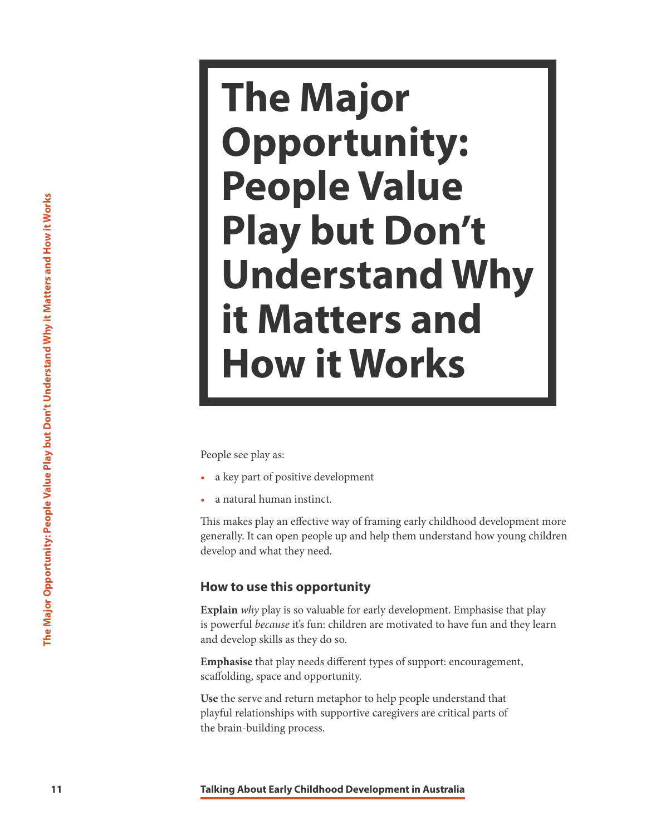## <span id="page-11-0"></span>**11 <b>Constant Childhood** Childhood Development in Australia (The Same of the Major Opportunity: People see play as:<br> **11 Constant Play but Don't Works**<br> **11 Example About Play but Don't Unit Works**<br> **11 Early About D The Major Opportunity: People Value Play but Don't Understand Why it Matters and How it Works**

People see play as:

- a key part of positive development
- a natural human instinct.

This makes play an effective way of framing early childhood development more generally. It can open people up and help them understand how young children develop and what they need.

#### **How to use this opportunity**

**Explain** *why* play is so valuable for early development. Emphasise that play is powerful *because* it's fun: children are motivated to have fun and they learn and develop skills as they do so.

**Emphasise** that play needs different types of support: encouragement, scaffolding, space and opportunity.

**Use** the serve and return metaphor to help people understand that playful relationships with supportive caregivers are critical parts of the brain-building process.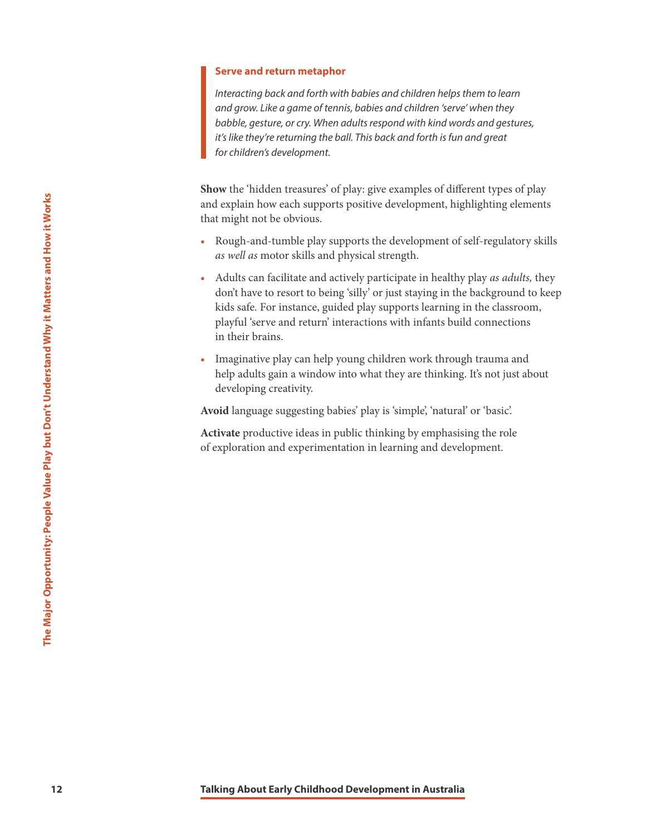#### **Serve and return metaphor**

*Interacting back and forth with babies and children helps them to learn and grow. Like a game of tennis, babies and children 'serve' when they babble, gesture, or cry. When adults respond with kind words and gestures, it's like they're returning the ball. This back and forth is fun and great for children's development.*

**Show** the 'hidden treasures' of play: give examples of different types of play and explain how each supports positive development, highlighting elements that might not be obvious.

- Rough-and-tumble play supports the development of self-regulatory skills *as well as* motor skills and physical strength.
- **122 122 Talking About Early Childhood Development** in Australia **The Majority Childhood Development 1 Australia The Majority Scheme Containstant Child** *Australia* and the Majority participating the participatio • Adults can facilitate and actively participate in healthy play *as adults,* they don't have to resort to being 'silly' or just staying in the background to keep kids safe*.* For instance, guided play supports learning in the classroom, playful 'serve and return' interactions with infants build connections in their brains.
	- Imaginative play can help young children work through trauma and help adults gain a window into what they are thinking. It's not just about developing creativity.

**Avoid** language suggesting babies' play is 'simple', 'natural' or 'basic'.

**Activate** productive ideas in public thinking by emphasising the role of exploration and experimentation in learning and development.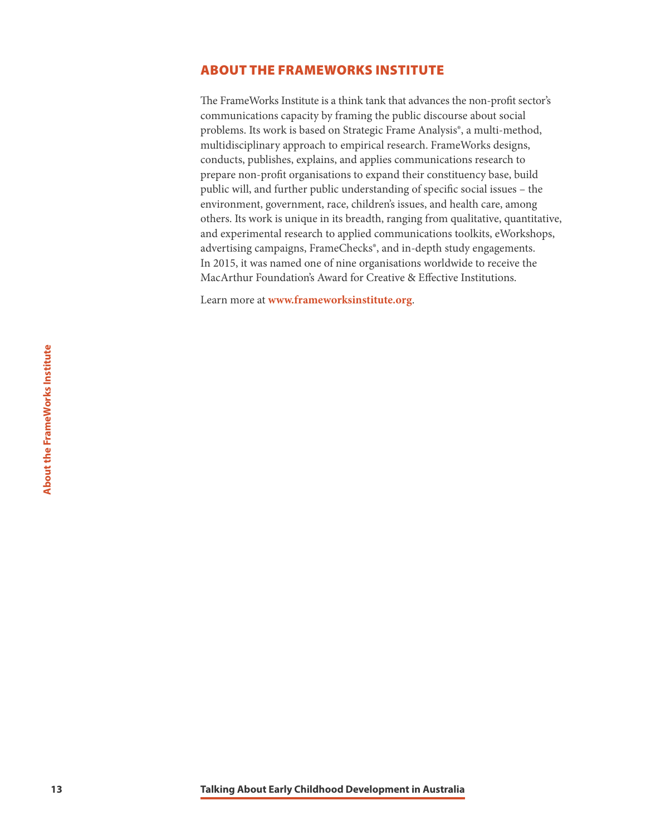#### ABOUT THE FRAMEWORKS INSTITUTE

The FrameWorks Institute is a think tank that advances the non-profit sector's communications capacity by framing the public discourse about social problems. Its work is based on Strategic Frame Analysis®, a multi-method, multidisciplinary approach to empirical research. FrameWorks designs, conducts, publishes, explains, and applies communications research to prepare non-profit organisations to expand their constituency base, build public will, and further public understanding of specific social issues – the environment, government, race, children's issues, and health care, among others. Its work is unique in its breadth, ranging from qualitative, quantitative, and experimental research to applied communications toolkits, eWorkshops, advertising campaigns, FrameChecks®, and in-depth study engagements. In 2015, it was named one of nine organisations worldwide to receive the MacArthur Foundation's Award for Creative & Effective Institutions.

Learn more at **[www.frameworksinstitute.org](http://www.frameworksinstitute.org)**.